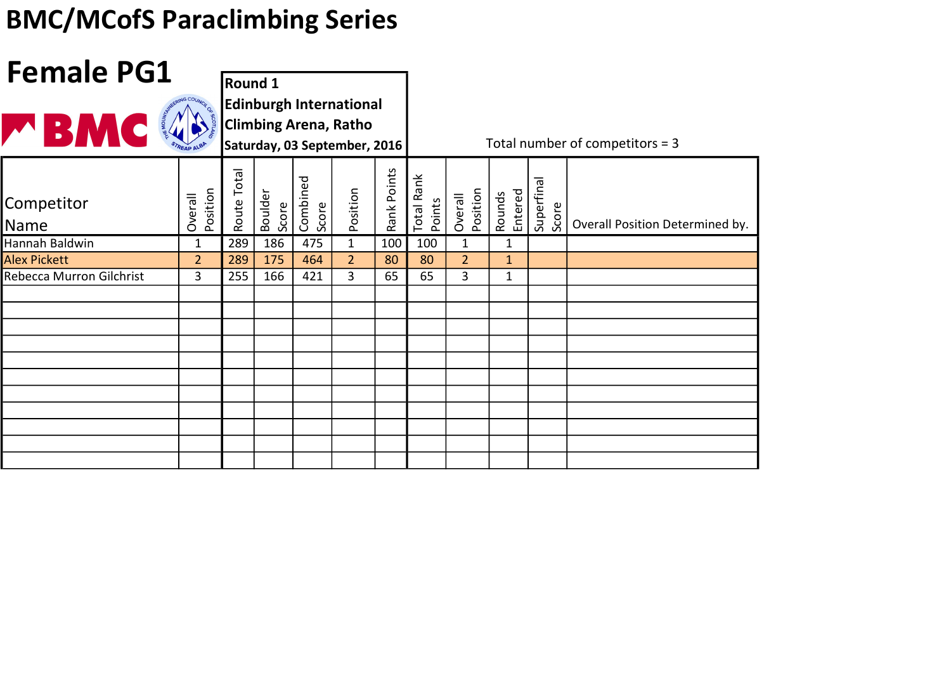| <b>Female PG1</b>               |                     |             |                  |                   |                                                                                                |             |                             |                     |                   |                     |                                   |
|---------------------------------|---------------------|-------------|------------------|-------------------|------------------------------------------------------------------------------------------------|-------------|-----------------------------|---------------------|-------------------|---------------------|-----------------------------------|
|                                 |                     | Round 1     |                  |                   |                                                                                                |             |                             |                     |                   |                     |                                   |
| <b>MBMC</b>                     |                     |             |                  |                   | <b>Edinburgh International</b><br><b>Climbing Arena, Ratho</b><br>Saturday, 03 September, 2016 |             |                             |                     |                   |                     | Total number of competitors = $3$ |
| Competitor<br>Name              | Position<br>Overall | Route Total | Boulder<br>Score | Combined<br>Score | Position                                                                                       | Rank Points | <b>Total Rank</b><br>Points | Position<br>Overall | Entered<br>Rounds | Superfinal<br>Score | Overall Position Determined by.   |
| Hannah Baldwin                  | $\mathbf{1}$        | 289         | 186              | 475               | $\mathbf{1}$                                                                                   | 100         | 100                         | $\mathbf{1}$        | $\mathbf{1}$      |                     |                                   |
| <b>Alex Pickett</b>             | $\overline{2}$      | 289         | 175              | 464               | $\overline{2}$                                                                                 | 80          | 80                          | $\overline{2}$      | $\mathbf{1}$      |                     |                                   |
| <b>Rebecca Murron Gilchrist</b> | 3                   | 255         | 166              | 421               | 3                                                                                              | 65          | 65                          | 3                   | 1                 |                     |                                   |
|                                 |                     |             |                  |                   |                                                                                                |             |                             |                     |                   |                     |                                   |
|                                 |                     |             |                  |                   |                                                                                                |             |                             |                     |                   |                     |                                   |
|                                 |                     |             |                  |                   |                                                                                                |             |                             |                     |                   |                     |                                   |
|                                 |                     |             |                  |                   |                                                                                                |             |                             |                     |                   |                     |                                   |
|                                 |                     |             |                  |                   |                                                                                                |             |                             |                     |                   |                     |                                   |
|                                 |                     |             |                  |                   |                                                                                                |             |                             |                     |                   |                     |                                   |
|                                 |                     |             |                  |                   |                                                                                                |             |                             |                     |                   |                     |                                   |
|                                 |                     |             |                  |                   |                                                                                                |             |                             |                     |                   |                     |                                   |
|                                 |                     |             |                  |                   |                                                                                                |             |                             |                     |                   |                     |                                   |
|                                 |                     |             |                  |                   |                                                                                                |             |                             |                     |                   |                     |                                   |
|                                 |                     |             |                  |                   |                                                                                                |             |                             |                     |                   |                     |                                   |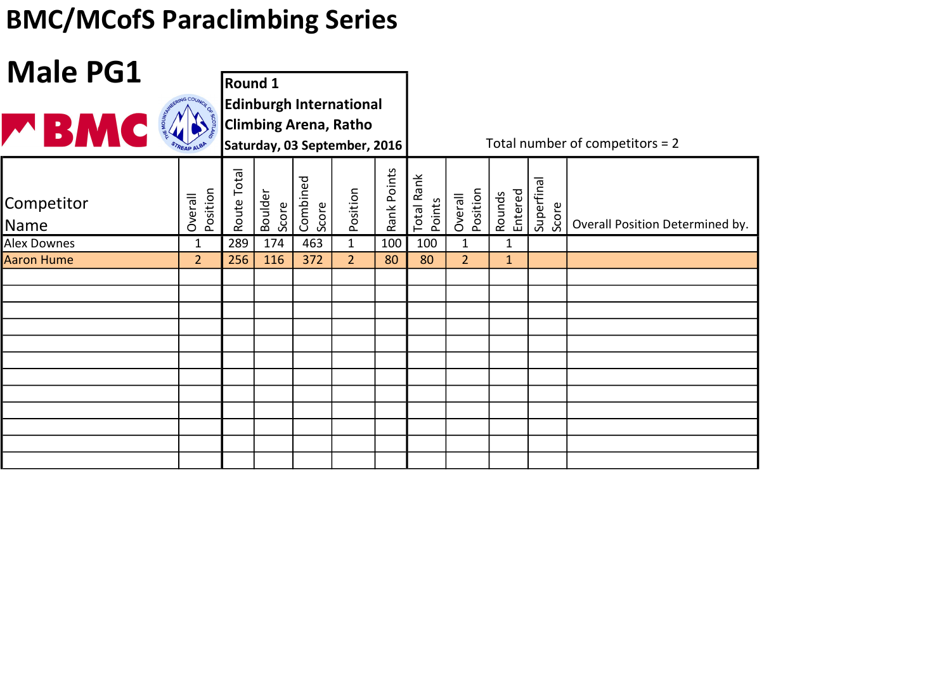| <b>Male PG1</b>    |                     |                |                  |                   |                                                                                                |             |                             |                     |                   |                     |                                 |
|--------------------|---------------------|----------------|------------------|-------------------|------------------------------------------------------------------------------------------------|-------------|-----------------------------|---------------------|-------------------|---------------------|---------------------------------|
|                    |                     | <b>Round 1</b> |                  |                   |                                                                                                |             |                             |                     |                   |                     |                                 |
| WBMC               |                     |                |                  |                   | <b>Edinburgh International</b><br><b>Climbing Arena, Ratho</b><br>Saturday, 03 September, 2016 |             |                             |                     |                   |                     | Total number of competitors = 2 |
| Competitor<br>Name | Position<br>Overall | Route Total    | Boulder<br>Score | Combined<br>Score | Position                                                                                       | Rank Points | <b>Total Rank</b><br>Points | Position<br>Overall | Rounds<br>Entered | Superfinal<br>Score | Overall Position Determined by. |
| <b>Alex Downes</b> | $\mathbf{1}$        | 289            | 174              | 463               | $\mathbf{1}$                                                                                   | 100         | 100                         | $\mathbf{1}$        | $\mathbf{1}$      |                     |                                 |
| <b>Aaron Hume</b>  | $\overline{2}$      | 256            | 116              | 372               | 2 <sup>1</sup>                                                                                 | 80          | 80                          | $\overline{2}$      | $\mathbf{1}$      |                     |                                 |
|                    |                     |                |                  |                   |                                                                                                |             |                             |                     |                   |                     |                                 |
|                    |                     |                |                  |                   |                                                                                                |             |                             |                     |                   |                     |                                 |
|                    |                     |                |                  |                   |                                                                                                |             |                             |                     |                   |                     |                                 |
|                    |                     |                |                  |                   |                                                                                                |             |                             |                     |                   |                     |                                 |
|                    |                     |                |                  |                   |                                                                                                |             |                             |                     |                   |                     |                                 |
|                    |                     |                |                  |                   |                                                                                                |             |                             |                     |                   |                     |                                 |
|                    |                     |                |                  |                   |                                                                                                |             |                             |                     |                   |                     |                                 |
|                    |                     |                |                  |                   |                                                                                                |             |                             |                     |                   |                     |                                 |
|                    |                     |                |                  |                   |                                                                                                |             |                             |                     |                   |                     |                                 |
|                    |                     |                |                  |                   |                                                                                                |             |                             |                     |                   |                     |                                 |
|                    |                     |                |                  |                   |                                                                                                |             |                             |                     |                   |                     |                                 |
|                    |                     |                |                  |                   |                                                                                                |             |                             |                     |                   |                     |                                 |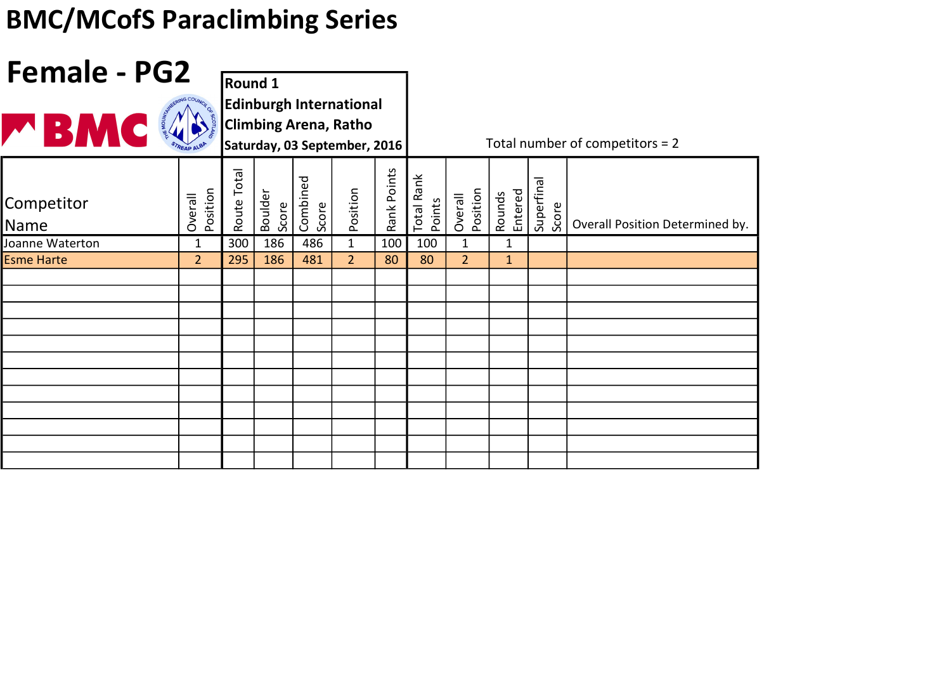| <b>Female - PG2</b> |                     |             |                  |                   |                                                                                                |             |                      |                     |                   |                     |                                   |
|---------------------|---------------------|-------------|------------------|-------------------|------------------------------------------------------------------------------------------------|-------------|----------------------|---------------------|-------------------|---------------------|-----------------------------------|
|                     |                     | Round 1     |                  |                   |                                                                                                |             |                      |                     |                   |                     |                                   |
| <b>MBMC</b>         |                     |             |                  |                   | <b>Edinburgh International</b><br><b>Climbing Arena, Ratho</b><br>Saturday, 03 September, 2016 |             |                      |                     |                   |                     | Total number of competitors = $2$ |
| Competitor<br>Name  | Position<br>Overall | Route Total | Boulder<br>Score | Combined<br>Score | Position                                                                                       | Rank Points | Total Rank<br>Points | Position<br>Overall | Rounds<br>Entered | Superfinal<br>Score | Overall Position Determined by.   |
| Joanne Waterton     | 1                   | 300         | 186              | 486               | $\mathbf{1}$                                                                                   | 100         | 100                  | $\mathbf{1}$        | $\mathbf{1}$      |                     |                                   |
| <b>Esme Harte</b>   | $\overline{2}$      | 295         | 186              | 481               | 2 <sup>1</sup>                                                                                 | 80          | 80                   | $\overline{2}$      | $\mathbf{1}$      |                     |                                   |
|                     |                     |             |                  |                   |                                                                                                |             |                      |                     |                   |                     |                                   |
|                     |                     |             |                  |                   |                                                                                                |             |                      |                     |                   |                     |                                   |
|                     |                     |             |                  |                   |                                                                                                |             |                      |                     |                   |                     |                                   |
|                     |                     |             |                  |                   |                                                                                                |             |                      |                     |                   |                     |                                   |
|                     |                     |             |                  |                   |                                                                                                |             |                      |                     |                   |                     |                                   |
|                     |                     |             |                  |                   |                                                                                                |             |                      |                     |                   |                     |                                   |
|                     |                     |             |                  |                   |                                                                                                |             |                      |                     |                   |                     |                                   |
|                     |                     |             |                  |                   |                                                                                                |             |                      |                     |                   |                     |                                   |
|                     |                     |             |                  |                   |                                                                                                |             |                      |                     |                   |                     |                                   |
|                     |                     |             |                  |                   |                                                                                                |             |                      |                     |                   |                     |                                   |
|                     |                     |             |                  |                   |                                                                                                |             |                      |                     |                   |                     |                                   |
|                     |                     |             |                  |                   |                                                                                                |             |                      |                     |                   |                     |                                   |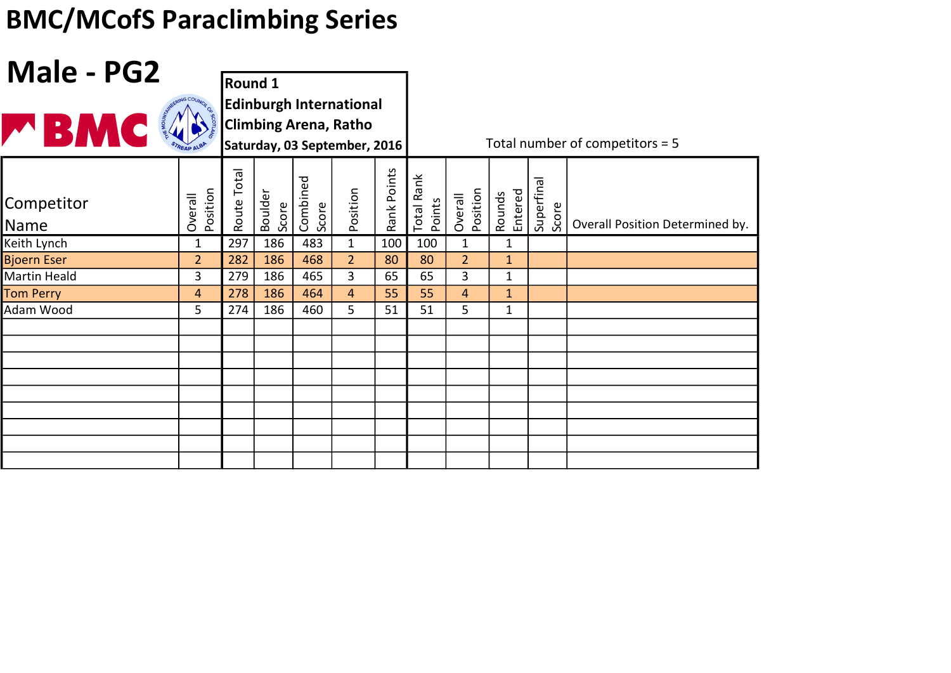| Male - PG2         |                     |                |                  |                   |                                                                                                |             |                             |                     |                   |                     |                                   |
|--------------------|---------------------|----------------|------------------|-------------------|------------------------------------------------------------------------------------------------|-------------|-----------------------------|---------------------|-------------------|---------------------|-----------------------------------|
|                    |                     | <b>Round 1</b> |                  |                   |                                                                                                |             |                             |                     |                   |                     |                                   |
| <b>WBMC</b>        |                     |                |                  |                   | <b>Edinburgh International</b><br><b>Climbing Arena, Ratho</b><br>Saturday, 03 September, 2016 |             |                             |                     |                   |                     | Total number of competitors = $5$ |
| Competitor<br>Name | Position<br>Overall | Route Total    | Boulder<br>Score | Combined<br>Score | Position                                                                                       | Rank Points | <b>Total Rank</b><br>Points | Position<br>Overall | Entered<br>Rounds | Superfinal<br>Score | Overall Position Determined by.   |
| Keith Lynch        | 1                   | 297            | 186              | 483               | $\mathbf 1$                                                                                    | 100         | 100                         | $\mathbf{1}$        | $\mathbf{1}$      |                     |                                   |
| <b>Bjoern Eser</b> | $\overline{2}$      | 282            | 186              | 468               | $\overline{2}$                                                                                 | 80          | 80                          | $\overline{2}$      | $\mathbf{1}$      |                     |                                   |
| Martin Heald       | 3                   | 279            | 186              | 465               | 3                                                                                              | 65          | 65                          | 3                   | $\mathbf{1}$      |                     |                                   |
| Tom Perry          | 4                   | 278            | 186              | 464               | $\overline{4}$                                                                                 | 55          | 55                          | $\overline{4}$      | $\mathbf{1}$      |                     |                                   |
| Adam Wood          | 5                   | 274            | 186              | 460               | 5                                                                                              | 51          | 51                          | 5                   | $\mathbf 1$       |                     |                                   |
|                    |                     |                |                  |                   |                                                                                                |             |                             |                     |                   |                     |                                   |
|                    |                     |                |                  |                   |                                                                                                |             |                             |                     |                   |                     |                                   |
|                    |                     |                |                  |                   |                                                                                                |             |                             |                     |                   |                     |                                   |
|                    |                     |                |                  |                   |                                                                                                |             |                             |                     |                   |                     |                                   |
|                    |                     |                |                  |                   |                                                                                                |             |                             |                     |                   |                     |                                   |
|                    |                     |                |                  |                   |                                                                                                |             |                             |                     |                   |                     |                                   |
|                    |                     |                |                  |                   |                                                                                                |             |                             |                     |                   |                     |                                   |
|                    |                     |                |                  |                   |                                                                                                |             |                             |                     |                   |                     |                                   |
|                    |                     |                |                  |                   |                                                                                                |             |                             |                     |                   |                     |                                   |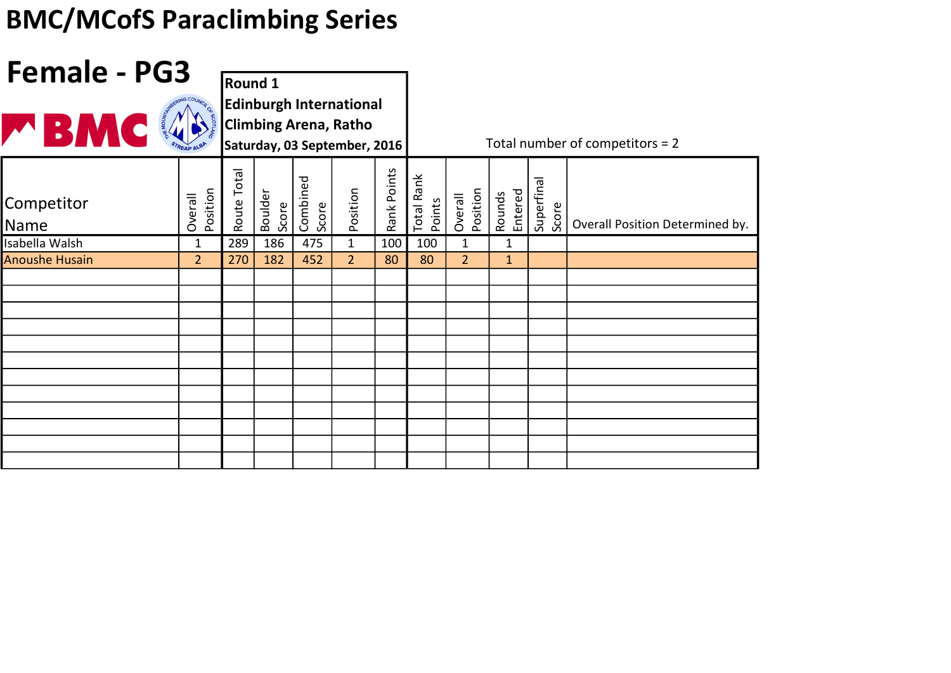| Female - PG3          |                     |                |                  |                   |                                                                                                |             |                      |                     |                   |                     |                                 |
|-----------------------|---------------------|----------------|------------------|-------------------|------------------------------------------------------------------------------------------------|-------------|----------------------|---------------------|-------------------|---------------------|---------------------------------|
|                       |                     | <b>Round 1</b> |                  |                   |                                                                                                |             |                      |                     |                   |                     |                                 |
| <b>MBMC</b>           |                     |                |                  |                   | <b>Edinburgh International</b><br><b>Climbing Arena, Ratho</b><br>Saturday, 03 September, 2016 |             |                      |                     |                   |                     | Total number of competitors = 2 |
| Competitor<br>Name    | Position<br>Overall | Route Total    | Boulder<br>Score | Combined<br>Score | Position                                                                                       | Rank Points | Total Rank<br>Points | Position<br>Overall | Rounds<br>Entered | Superfinal<br>Score | Overall Position Determined by. |
| Isabella Walsh        | $\mathbf{1}$        | 289            | 186              | 475               | $\mathbf{1}$                                                                                   | 100         | 100                  | $\mathbf{1}$        | $\mathbf{1}$      |                     |                                 |
| <b>Anoushe Husain</b> | $\overline{2}$      | 270            | 182              | 452               | 2 <sup>1</sup>                                                                                 | 80          | 80                   | $\overline{2}$      | $\mathbf{1}$      |                     |                                 |
|                       |                     |                |                  |                   |                                                                                                |             |                      |                     |                   |                     |                                 |
|                       |                     |                |                  |                   |                                                                                                |             |                      |                     |                   |                     |                                 |
|                       |                     |                |                  |                   |                                                                                                |             |                      |                     |                   |                     |                                 |
|                       |                     |                |                  |                   |                                                                                                |             |                      |                     |                   |                     |                                 |
|                       |                     |                |                  |                   |                                                                                                |             |                      |                     |                   |                     |                                 |
|                       |                     |                |                  |                   |                                                                                                |             |                      |                     |                   |                     |                                 |
|                       |                     |                |                  |                   |                                                                                                |             |                      |                     |                   |                     |                                 |
|                       |                     |                |                  |                   |                                                                                                |             |                      |                     |                   |                     |                                 |
|                       |                     |                |                  |                   |                                                                                                |             |                      |                     |                   |                     |                                 |
|                       |                     |                |                  |                   |                                                                                                |             |                      |                     |                   |                     |                                 |
|                       |                     |                |                  |                   |                                                                                                |             |                      |                     |                   |                     |                                 |
|                       |                     |                |                  |                   |                                                                                                |             |                      |                     |                   |                     |                                 |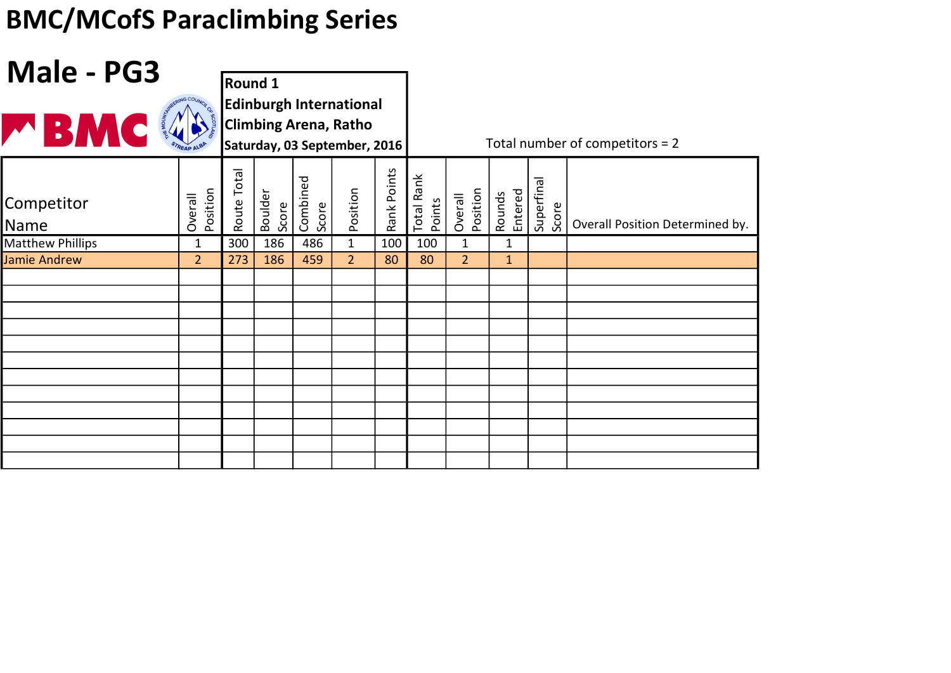| Male - PG3              |                     |                |                  |                   |                                                                                                |             |                             |                     |                   |                     |                                 |
|-------------------------|---------------------|----------------|------------------|-------------------|------------------------------------------------------------------------------------------------|-------------|-----------------------------|---------------------|-------------------|---------------------|---------------------------------|
|                         |                     | <b>Round 1</b> |                  |                   |                                                                                                |             |                             |                     |                   |                     |                                 |
| <b>EMC</b>              |                     |                |                  |                   | <b>Edinburgh International</b><br><b>Climbing Arena, Ratho</b><br>Saturday, 03 September, 2016 |             |                             |                     |                   |                     | Total number of competitors = 2 |
| Competitor<br>Name      | Position<br>Overall | Route Total    | Boulder<br>Score | Combined<br>Score | Position                                                                                       | Rank Points | <b>Total Rank</b><br>Points | Position<br>Overall | Entered<br>Rounds | Superfinal<br>Score | Overall Position Determined by. |
| <b>Matthew Phillips</b> | $\mathbf{1}$        | 300            | 186              | 486               | $\mathbf{1}$                                                                                   | 100         | 100                         | $\mathbf{1}$        | $\mathbf{1}$      |                     |                                 |
| Jamie Andrew            | $\overline{2}$      | 273            | 186              | 459               | 2 <sup>1</sup>                                                                                 | 80          | 80                          | $\overline{2}$      | $\mathbf{1}$      |                     |                                 |
|                         |                     |                |                  |                   |                                                                                                |             |                             |                     |                   |                     |                                 |
|                         |                     |                |                  |                   |                                                                                                |             |                             |                     |                   |                     |                                 |
|                         |                     |                |                  |                   |                                                                                                |             |                             |                     |                   |                     |                                 |
|                         |                     |                |                  |                   |                                                                                                |             |                             |                     |                   |                     |                                 |
|                         |                     |                |                  |                   |                                                                                                |             |                             |                     |                   |                     |                                 |
|                         |                     |                |                  |                   |                                                                                                |             |                             |                     |                   |                     |                                 |
|                         |                     |                |                  |                   |                                                                                                |             |                             |                     |                   |                     |                                 |
|                         |                     |                |                  |                   |                                                                                                |             |                             |                     |                   |                     |                                 |
|                         |                     |                |                  |                   |                                                                                                |             |                             |                     |                   |                     |                                 |
|                         |                     |                |                  |                   |                                                                                                |             |                             |                     |                   |                     |                                 |
|                         |                     |                |                  |                   |                                                                                                |             |                             |                     |                   |                     |                                 |
|                         |                     |                |                  |                   |                                                                                                |             |                             |                     |                   |                     |                                 |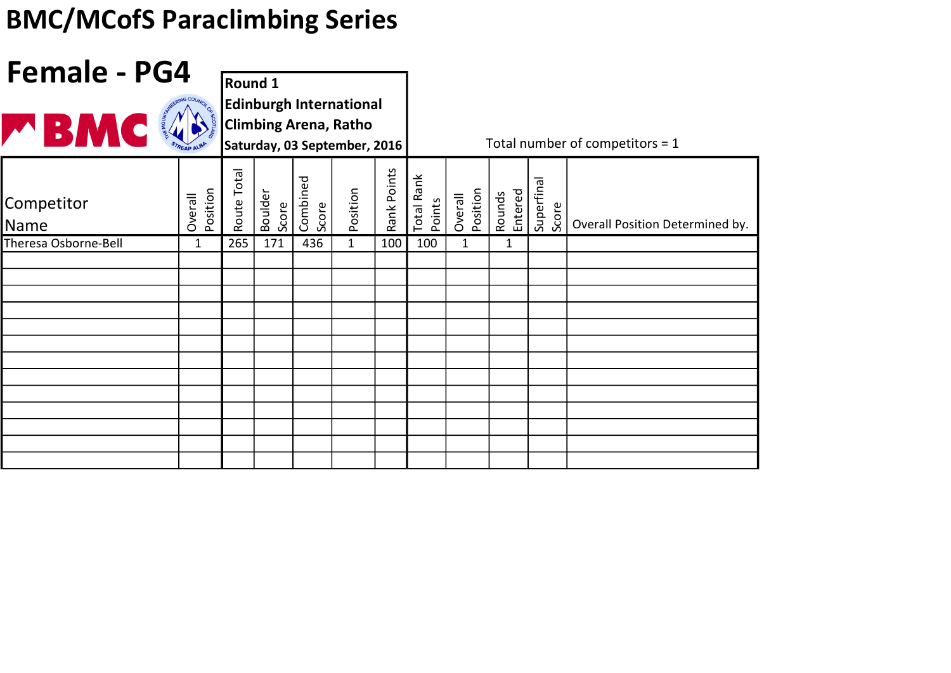| <b>Female - PG4</b>       |                     |                |                  |                   |                                                                                                |             |                             |                     |                   |                     |                                   |
|---------------------------|---------------------|----------------|------------------|-------------------|------------------------------------------------------------------------------------------------|-------------|-----------------------------|---------------------|-------------------|---------------------|-----------------------------------|
|                           |                     | <b>Round 1</b> |                  |                   |                                                                                                |             |                             |                     |                   |                     |                                   |
| <b>MBMC</b>               |                     |                |                  |                   | <b>Edinburgh International</b><br><b>Climbing Arena, Ratho</b><br>Saturday, 03 September, 2016 |             |                             |                     |                   |                     | Total number of competitors = $1$ |
| Competitor<br><b>Name</b> | Position<br>Overall | Route Total    | Boulder<br>Score | Combined<br>Score | Position                                                                                       | Rank Points | <b>Total Rank</b><br>Points | Position<br>Overall | Entered<br>Rounds | Superfinal<br>Score | Overall Position Determined by.   |
| Theresa Osborne-Bell      | $\mathbf{1}$        | 265            | 171              | 436               | $\mathbf{1}$                                                                                   | 100         | 100                         | $\mathbf{1}$        | $\mathbf{1}$      |                     |                                   |
|                           |                     |                |                  |                   |                                                                                                |             |                             |                     |                   |                     |                                   |
|                           |                     |                |                  |                   |                                                                                                |             |                             |                     |                   |                     |                                   |
|                           |                     |                |                  |                   |                                                                                                |             |                             |                     |                   |                     |                                   |
|                           |                     |                |                  |                   |                                                                                                |             |                             |                     |                   |                     |                                   |
|                           |                     |                |                  |                   |                                                                                                |             |                             |                     |                   |                     |                                   |
|                           |                     |                |                  |                   |                                                                                                |             |                             |                     |                   |                     |                                   |
|                           |                     |                |                  |                   |                                                                                                |             |                             |                     |                   |                     |                                   |
|                           |                     |                |                  |                   |                                                                                                |             |                             |                     |                   |                     |                                   |
|                           |                     |                |                  |                   |                                                                                                |             |                             |                     |                   |                     |                                   |
|                           |                     |                |                  |                   |                                                                                                |             |                             |                     |                   |                     |                                   |
|                           |                     |                |                  |                   |                                                                                                |             |                             |                     |                   |                     |                                   |
|                           |                     |                |                  |                   |                                                                                                |             |                             |                     |                   |                     |                                   |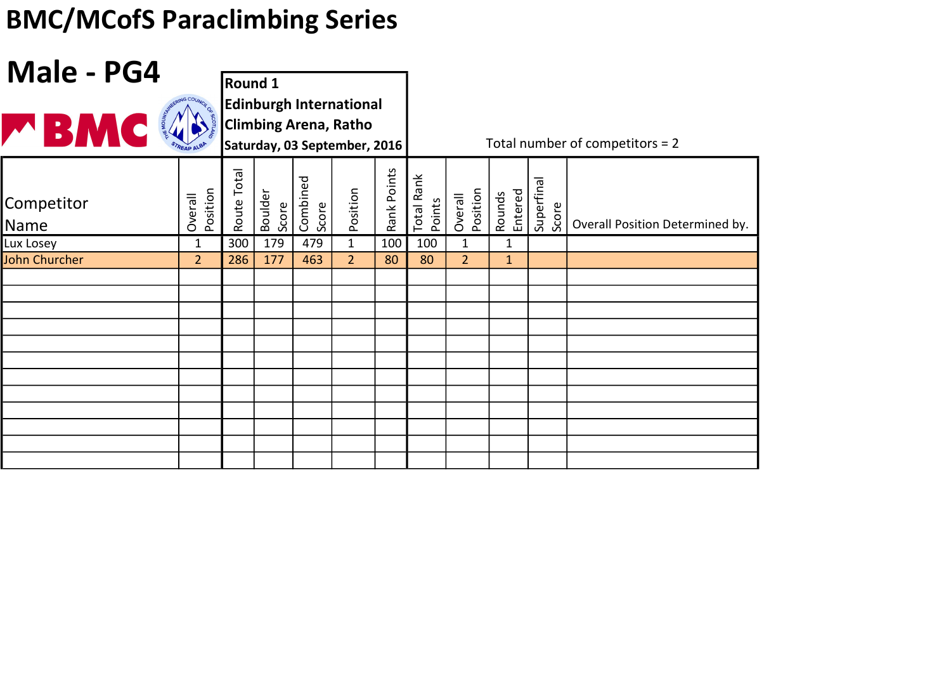| Male - PG4         |                     |                |                  |                   |                                                                                                |             |                             |                     |                   |                     |                                   |
|--------------------|---------------------|----------------|------------------|-------------------|------------------------------------------------------------------------------------------------|-------------|-----------------------------|---------------------|-------------------|---------------------|-----------------------------------|
|                    |                     | <b>Round 1</b> |                  |                   |                                                                                                |             |                             |                     |                   |                     |                                   |
| <b>MBMC</b>        |                     |                |                  |                   | <b>Edinburgh International</b><br><b>Climbing Arena, Ratho</b><br>Saturday, 03 September, 2016 |             |                             |                     |                   |                     | Total number of competitors = $2$ |
| Competitor<br>Name | Position<br>Overall | Route Total    | Boulder<br>Score | Combined<br>Score | Position                                                                                       | Rank Points | <b>Total Rank</b><br>Points | Position<br>Overall | Entered<br>Rounds | Superfinal<br>Score | Overall Position Determined by.   |
| Lux Losey          | $\mathbf{1}$        | 300            | 179              | 479               | $\mathbf{1}$                                                                                   | 100         | 100                         | $\mathbf{1}$        | $\mathbf{1}$      |                     |                                   |
| John Churcher      | $\overline{2}$      | 286            | 177              | 463               | 2 <sup>1</sup>                                                                                 | 80          | 80                          | $\overline{2}$      | $\mathbf{1}$      |                     |                                   |
|                    |                     |                |                  |                   |                                                                                                |             |                             |                     |                   |                     |                                   |
|                    |                     |                |                  |                   |                                                                                                |             |                             |                     |                   |                     |                                   |
|                    |                     |                |                  |                   |                                                                                                |             |                             |                     |                   |                     |                                   |
|                    |                     |                |                  |                   |                                                                                                |             |                             |                     |                   |                     |                                   |
|                    |                     |                |                  |                   |                                                                                                |             |                             |                     |                   |                     |                                   |
|                    |                     |                |                  |                   |                                                                                                |             |                             |                     |                   |                     |                                   |
|                    |                     |                |                  |                   |                                                                                                |             |                             |                     |                   |                     |                                   |
|                    |                     |                |                  |                   |                                                                                                |             |                             |                     |                   |                     |                                   |
|                    |                     |                |                  |                   |                                                                                                |             |                             |                     |                   |                     |                                   |
|                    |                     |                |                  |                   |                                                                                                |             |                             |                     |                   |                     |                                   |
|                    |                     |                |                  |                   |                                                                                                |             |                             |                     |                   |                     |                                   |
|                    |                     |                |                  |                   |                                                                                                |             |                             |                     |                   |                     |                                   |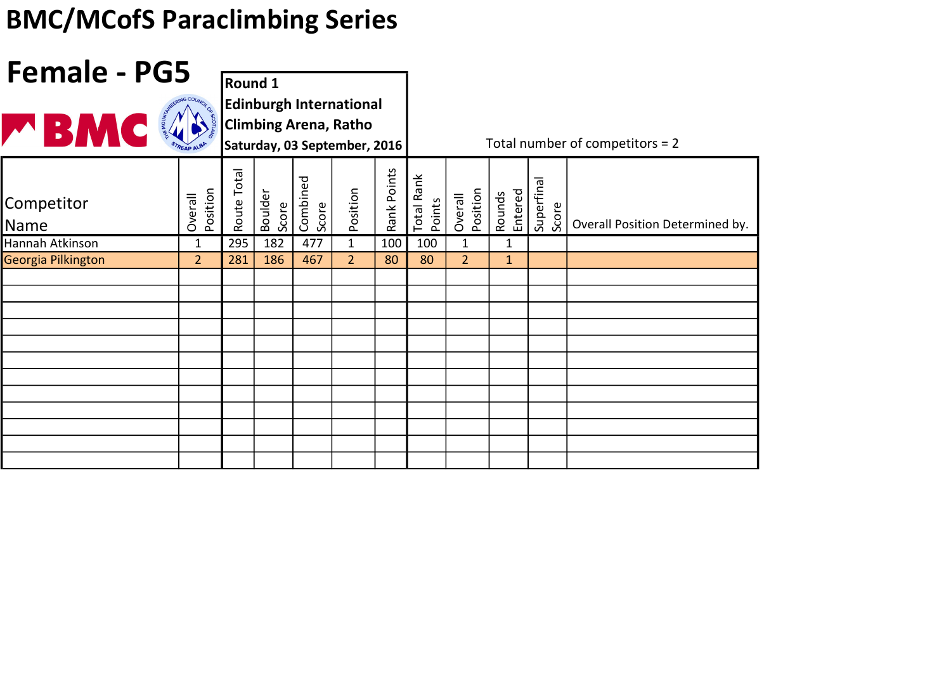| <b>Female - PG5</b> |                     |             |                  |                   |                                                                                                |             |                      |                     |                   |                     |                                 |
|---------------------|---------------------|-------------|------------------|-------------------|------------------------------------------------------------------------------------------------|-------------|----------------------|---------------------|-------------------|---------------------|---------------------------------|
|                     |                     | Round 1     |                  |                   |                                                                                                |             |                      |                     |                   |                     |                                 |
| <b>MBMC</b>         |                     |             |                  |                   | <b>Edinburgh International</b><br><b>Climbing Arena, Ratho</b><br>Saturday, 03 September, 2016 |             |                      |                     |                   |                     | Total number of competitors = 2 |
| Competitor<br>Name  | Position<br>Overall | Route Total | Boulder<br>Score | Combined<br>Score | Position                                                                                       | Rank Points | Total Rank<br>Points | Position<br>Overall | Rounds<br>Entered | Superfinal<br>Score | Overall Position Determined by. |
| Hannah Atkinson     | $\mathbf{1}$        | 295         | 182              | 477               | $\mathbf{1}$                                                                                   | 100         | 100                  | $\mathbf{1}$        | $\mathbf{1}$      |                     |                                 |
| Georgia Pilkington  | $\overline{2}$      | 281         | 186              | 467               | 2 <sup>1</sup>                                                                                 | 80          | 80                   | $\overline{2}$      | $\mathbf{1}$      |                     |                                 |
|                     |                     |             |                  |                   |                                                                                                |             |                      |                     |                   |                     |                                 |
|                     |                     |             |                  |                   |                                                                                                |             |                      |                     |                   |                     |                                 |
|                     |                     |             |                  |                   |                                                                                                |             |                      |                     |                   |                     |                                 |
|                     |                     |             |                  |                   |                                                                                                |             |                      |                     |                   |                     |                                 |
|                     |                     |             |                  |                   |                                                                                                |             |                      |                     |                   |                     |                                 |
|                     |                     |             |                  |                   |                                                                                                |             |                      |                     |                   |                     |                                 |
|                     |                     |             |                  |                   |                                                                                                |             |                      |                     |                   |                     |                                 |
|                     |                     |             |                  |                   |                                                                                                |             |                      |                     |                   |                     |                                 |
|                     |                     |             |                  |                   |                                                                                                |             |                      |                     |                   |                     |                                 |
|                     |                     |             |                  |                   |                                                                                                |             |                      |                     |                   |                     |                                 |
|                     |                     |             |                  |                   |                                                                                                |             |                      |                     |                   |                     |                                 |
|                     |                     |             |                  |                   |                                                                                                |             |                      |                     |                   |                     |                                 |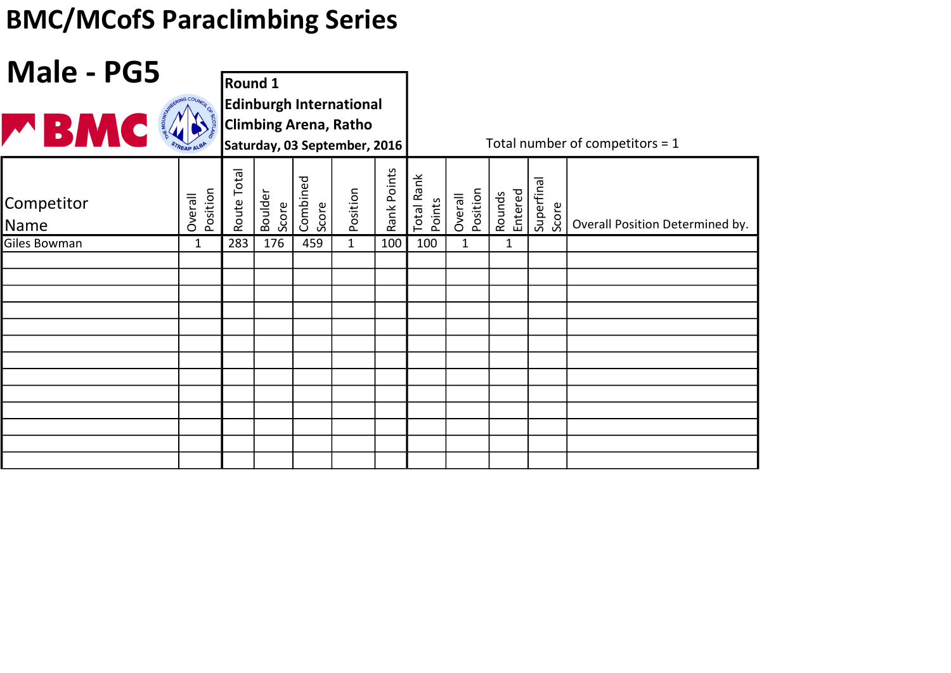| Male - PG5         |                     |             |                                                  |                   |                                                              |             |                             |                     |                   |                     |                                   |
|--------------------|---------------------|-------------|--------------------------------------------------|-------------------|--------------------------------------------------------------|-------------|-----------------------------|---------------------|-------------------|---------------------|-----------------------------------|
|                    |                     |             | <b>Round 1</b><br><b>Edinburgh International</b> |                   |                                                              |             |                             |                     |                   |                     |                                   |
| WBMC               | <b>RIDEO REPAIR</b> |             |                                                  |                   | <b>Climbing Arena, Ratho</b><br>Saturday, 03 September, 2016 |             |                             |                     |                   |                     | Total number of competitors = $1$ |
| Competitor<br>Name | Position<br>Overall | Route Total | Boulder<br>Score                                 | Combined<br>Score | Position                                                     | Rank Points | <b>Total Rank</b><br>Points | Position<br>Overall | Rounds<br>Entered | Superfinal<br>Score | Overall Position Determined by.   |
| Giles Bowman       | $\mathbf{1}$        | 283         | 176                                              | 459               | $\mathbf{1}$                                                 | 100         | 100                         | $\mathbf{1}$        | $\mathbf{1}$      |                     |                                   |
|                    |                     |             |                                                  |                   |                                                              |             |                             |                     |                   |                     |                                   |
|                    |                     |             |                                                  |                   |                                                              |             |                             |                     |                   |                     |                                   |
|                    |                     |             |                                                  |                   |                                                              |             |                             |                     |                   |                     |                                   |
|                    |                     |             |                                                  |                   |                                                              |             |                             |                     |                   |                     |                                   |
|                    |                     |             |                                                  |                   |                                                              |             |                             |                     |                   |                     |                                   |
|                    |                     |             |                                                  |                   |                                                              |             |                             |                     |                   |                     |                                   |
|                    |                     |             |                                                  |                   |                                                              |             |                             |                     |                   |                     |                                   |
|                    |                     |             |                                                  |                   |                                                              |             |                             |                     |                   |                     |                                   |
|                    |                     |             |                                                  |                   |                                                              |             |                             |                     |                   |                     |                                   |
|                    |                     |             |                                                  |                   |                                                              |             |                             |                     |                   |                     |                                   |
|                    |                     |             |                                                  |                   |                                                              |             |                             |                     |                   |                     |                                   |
|                    |                     |             |                                                  |                   |                                                              |             |                             |                     |                   |                     |                                   |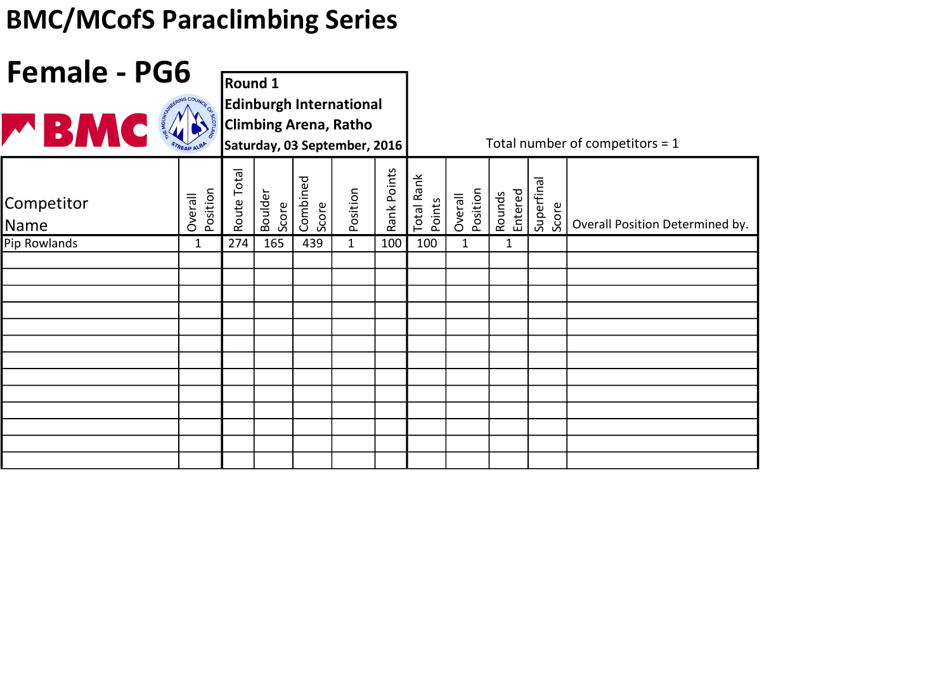| <b>Female - PG6</b> |                     |                |                  |                   |                                                                                                |             |                             |                     |                   |                     |                                   |
|---------------------|---------------------|----------------|------------------|-------------------|------------------------------------------------------------------------------------------------|-------------|-----------------------------|---------------------|-------------------|---------------------|-----------------------------------|
|                     |                     | <b>Round 1</b> |                  |                   |                                                                                                |             |                             |                     |                   |                     |                                   |
| <b>MBMC</b>         |                     |                |                  |                   | <b>Edinburgh International</b><br><b>Climbing Arena, Ratho</b><br>Saturday, 03 September, 2016 |             |                             |                     |                   |                     | Total number of competitors = $1$ |
| Competitor<br>Name  | Position<br>Overall | Route Total    | Boulder<br>Score | Combined<br>Score | Position                                                                                       | Rank Points | <b>Total Rank</b><br>Points | Position<br>Overall | Entered<br>Rounds | Superfinal<br>Score | Overall Position Determined by.   |
| Pip Rowlands        | 1                   | 274            | 165              | 439               | $\mathbf{1}$                                                                                   | 100         | 100                         | $\mathbf{1}$        | $\mathbf{1}$      |                     |                                   |
|                     |                     |                |                  |                   |                                                                                                |             |                             |                     |                   |                     |                                   |
|                     |                     |                |                  |                   |                                                                                                |             |                             |                     |                   |                     |                                   |
|                     |                     |                |                  |                   |                                                                                                |             |                             |                     |                   |                     |                                   |
|                     |                     |                |                  |                   |                                                                                                |             |                             |                     |                   |                     |                                   |
|                     |                     |                |                  |                   |                                                                                                |             |                             |                     |                   |                     |                                   |
|                     |                     |                |                  |                   |                                                                                                |             |                             |                     |                   |                     |                                   |
|                     |                     |                |                  |                   |                                                                                                |             |                             |                     |                   |                     |                                   |
|                     |                     |                |                  |                   |                                                                                                |             |                             |                     |                   |                     |                                   |
|                     |                     |                |                  |                   |                                                                                                |             |                             |                     |                   |                     |                                   |
|                     |                     |                |                  |                   |                                                                                                |             |                             |                     |                   |                     |                                   |
|                     |                     |                |                  |                   |                                                                                                |             |                             |                     |                   |                     |                                   |
|                     |                     |                |                  |                   |                                                                                                |             |                             |                     |                   |                     |                                   |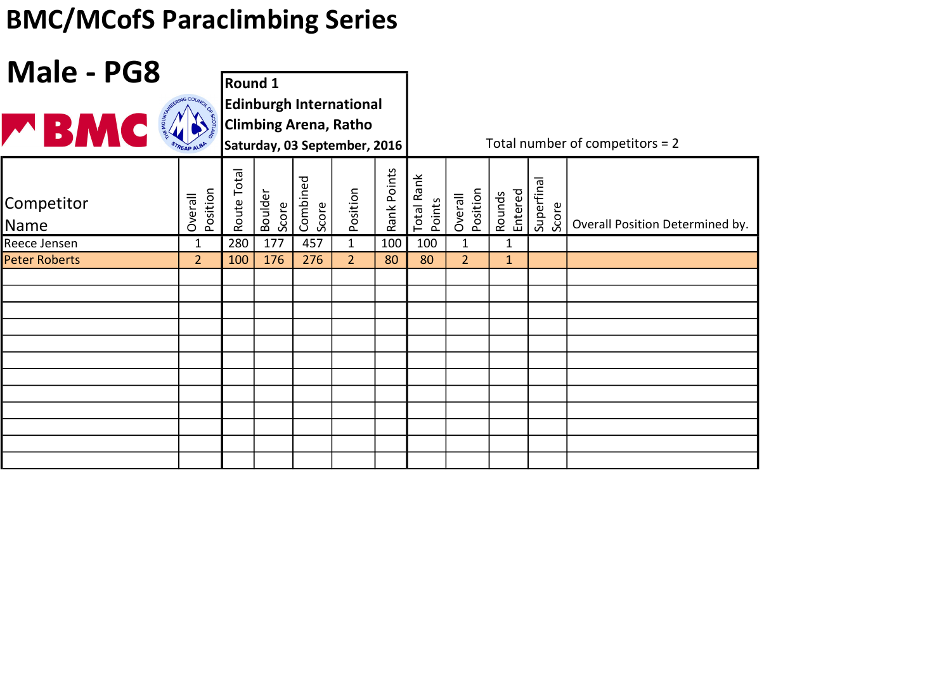| Male - PG8           |                                                        |                |                  |                   |                                                                                                |             |                             |                     |                   |                     |                                 |
|----------------------|--------------------------------------------------------|----------------|------------------|-------------------|------------------------------------------------------------------------------------------------|-------------|-----------------------------|---------------------|-------------------|---------------------|---------------------------------|
|                      |                                                        | <b>Round 1</b> |                  |                   |                                                                                                |             |                             |                     |                   |                     |                                 |
| <b>MBMC</b>          | <b>AND ROAD CONTROL OF SACROSCITED AND RESPONSI</b> NG |                |                  |                   | <b>Edinburgh International</b><br><b>Climbing Arena, Ratho</b><br>Saturday, 03 September, 2016 |             |                             |                     |                   |                     | Total number of competitors = 2 |
| Competitor<br>Name   | Position<br>Overall                                    | Route Total    | Boulder<br>Score | Combined<br>Score | Position                                                                                       | Rank Points | <b>Total Rank</b><br>Points | Position<br>Overall | Rounds<br>Entered | Superfinal<br>Score | Overall Position Determined by. |
| Reece Jensen         | $\mathbf{1}$                                           | 280            | 177              | 457               | $\mathbf{1}$                                                                                   | 100         | 100                         | $\mathbf{1}$        | $\mathbf{1}$      |                     |                                 |
| <b>Peter Roberts</b> | $\overline{2}$                                         | 100            | 176              | 276               | 2 <sup>1</sup>                                                                                 | 80          | 80                          | 2 <sup>1</sup>      | $\mathbf{1}$      |                     |                                 |
|                      |                                                        |                |                  |                   |                                                                                                |             |                             |                     |                   |                     |                                 |
|                      |                                                        |                |                  |                   |                                                                                                |             |                             |                     |                   |                     |                                 |
|                      |                                                        |                |                  |                   |                                                                                                |             |                             |                     |                   |                     |                                 |
|                      |                                                        |                |                  |                   |                                                                                                |             |                             |                     |                   |                     |                                 |
|                      |                                                        |                |                  |                   |                                                                                                |             |                             |                     |                   |                     |                                 |
|                      |                                                        |                |                  |                   |                                                                                                |             |                             |                     |                   |                     |                                 |
|                      |                                                        |                |                  |                   |                                                                                                |             |                             |                     |                   |                     |                                 |
|                      |                                                        |                |                  |                   |                                                                                                |             |                             |                     |                   |                     |                                 |
|                      |                                                        |                |                  |                   |                                                                                                |             |                             |                     |                   |                     |                                 |
|                      |                                                        |                |                  |                   |                                                                                                |             |                             |                     |                   |                     |                                 |
|                      |                                                        |                |                  |                   |                                                                                                |             |                             |                     |                   |                     |                                 |
|                      |                                                        |                |                  |                   |                                                                                                |             |                             |                     |                   |                     |                                 |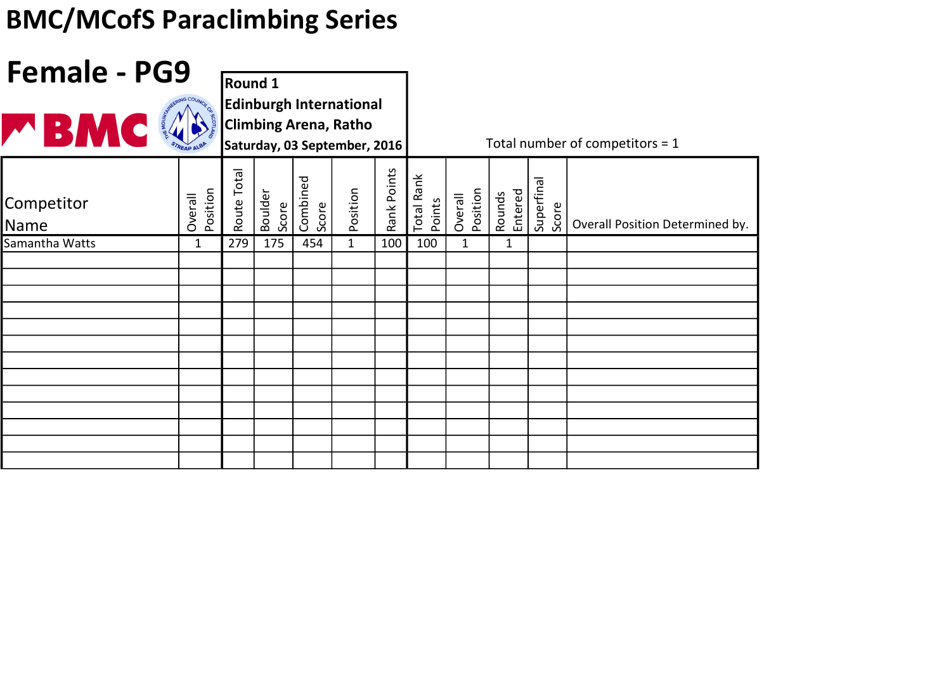| <b>Female - PG9</b> |                     |                                                              |                                                  |                   |              |             |                                   |                     |                   |                     |                                 |  |
|---------------------|---------------------|--------------------------------------------------------------|--------------------------------------------------|-------------------|--------------|-------------|-----------------------------------|---------------------|-------------------|---------------------|---------------------------------|--|
|                     |                     |                                                              | <b>Round 1</b><br><b>Edinburgh International</b> |                   |              |             |                                   |                     |                   |                     |                                 |  |
| <b>MBMC</b>         |                     | <b>Climbing Arena, Ratho</b><br>Saturday, 03 September, 2016 |                                                  |                   |              |             | Total number of competitors = $1$ |                     |                   |                     |                                 |  |
| Competitor<br>Name  | Position<br>Overall | Route Total                                                  | Boulder<br>Score                                 | Combined<br>Score | Position     | Rank Points | <b>Total Rank</b><br>Points       | Position<br>Overall | Entered<br>Rounds | Superfinal<br>Score | Overall Position Determined by. |  |
| Samantha Watts      | 1                   | 279                                                          | 175                                              | 454               | $\mathbf{1}$ | 100         | 100                               | $\mathbf{1}$        | $\mathbf{1}$      |                     |                                 |  |
|                     |                     |                                                              |                                                  |                   |              |             |                                   |                     |                   |                     |                                 |  |
|                     |                     |                                                              |                                                  |                   |              |             |                                   |                     |                   |                     |                                 |  |
|                     |                     |                                                              |                                                  |                   |              |             |                                   |                     |                   |                     |                                 |  |
|                     |                     |                                                              |                                                  |                   |              |             |                                   |                     |                   |                     |                                 |  |
|                     |                     |                                                              |                                                  |                   |              |             |                                   |                     |                   |                     |                                 |  |
|                     |                     |                                                              |                                                  |                   |              |             |                                   |                     |                   |                     |                                 |  |
|                     |                     |                                                              |                                                  |                   |              |             |                                   |                     |                   |                     |                                 |  |
|                     |                     |                                                              |                                                  |                   |              |             |                                   |                     |                   |                     |                                 |  |
|                     |                     |                                                              |                                                  |                   |              |             |                                   |                     |                   |                     |                                 |  |
|                     |                     |                                                              |                                                  |                   |              |             |                                   |                     |                   |                     |                                 |  |
|                     |                     |                                                              |                                                  |                   |              |             |                                   |                     |                   |                     |                                 |  |
|                     |                     |                                                              |                                                  |                   |              |             |                                   |                     |                   |                     |                                 |  |